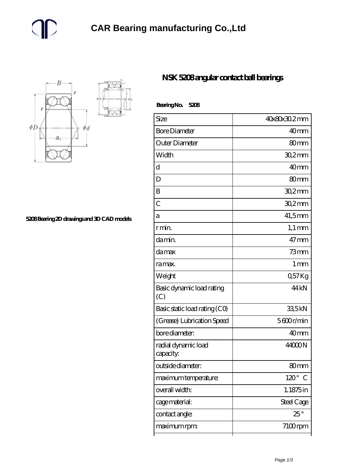

**[5208 Bearing 2D drawings and 3D CAD models](https://m.gmgyb.com/pic-48115.html)**

## **[NSK 5208 angular contact ball bearings](https://m.gmgyb.com/au-48115-nsk-5208-angular-contact-ball-bearings.html)**

| BearingNo.<br>5208               |                  |
|----------------------------------|------------------|
| Size                             | 40x80x30.2mm     |
| <b>Bore Diameter</b>             | 40 <sub>mm</sub> |
| Outer Diameter                   | 80 <sub>mm</sub> |
| Width                            | $302$ mm         |
| d                                | 40 <sub>mm</sub> |
| D                                | 80 <sub>mm</sub> |
| B                                | 30,2mm           |
| $\overline{C}$                   | $302$ mm         |
| a                                | $41,5$ mm        |
| r min.                           | $1,1 \text{ mm}$ |
| damin.                           | $47$ mm          |
| damax                            | $73$ mm          |
| ra max.                          | 1 <sub>mm</sub>  |
| Weight                           | Q57Kg            |
| Basic dynamic load rating<br>(C) | 44 <sub>kN</sub> |
| Basic static load rating (CO)    | 335kN            |
| (Grease) Lubrication Speed       | 5600r/min        |
| bore diameter:                   | 40mm             |
| radial dynamic load<br>capacity: | 44000N           |
| outside diameter:                | 80mm             |
| maximum temperature:             | $120^\circ$<br>C |
| overall width:                   | 1.1875in         |
| cage material:                   | Steel Cage       |
| contact angle:                   | $25^{\circ}$     |
| maximum rpm:                     | 7100rpm          |
|                                  |                  |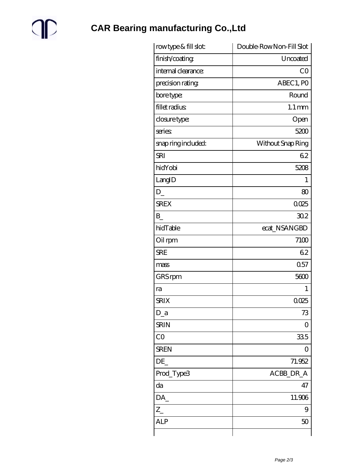

**CAR Bearing manufacturing Co., Ltd** 

| rowtype & fill slot: | Double-RowNon-Fill Slot |
|----------------------|-------------------------|
| finish/coating       | Uncoated                |
| internal clearance:  | CO                      |
| precision rating     | ABEC 1, PO              |
| bore type:           | Round                   |
| fillet radius        | $1.1 \,\mathrm{mm}$     |
| closure type:        | Open                    |
| series               | 5200                    |
| snap ring included:  | Without Snap Ring       |
| <b>SRI</b>           | 62                      |
| hidYobi              | 5208                    |
| LangID               | 1                       |
| D                    | 80                      |
| <b>SREX</b>          | 0025                    |
| B                    | 302                     |
| hidTable             | ecat_NSANGBD            |
| Oil rpm              | 7100                    |
| <b>SRE</b>           | 62                      |
| mass                 | 0.57                    |
| GRS rpm              | 5600                    |
| ra                   | 1                       |
| <b>SRIX</b>          | 0025                    |
| $D_a$                | 73                      |
| <b>SRIN</b>          | 0                       |
| CO                   | 335                     |
| <b>SREN</b>          | 0                       |
| DE                   | 71.952                  |
| Prod_Type3           | ACBB_DR_A               |
| da                   | 47                      |
| DA_                  | 11.906                  |
| $Z_{-}$              | 9                       |
| ALP                  | 50                      |
|                      |                         |